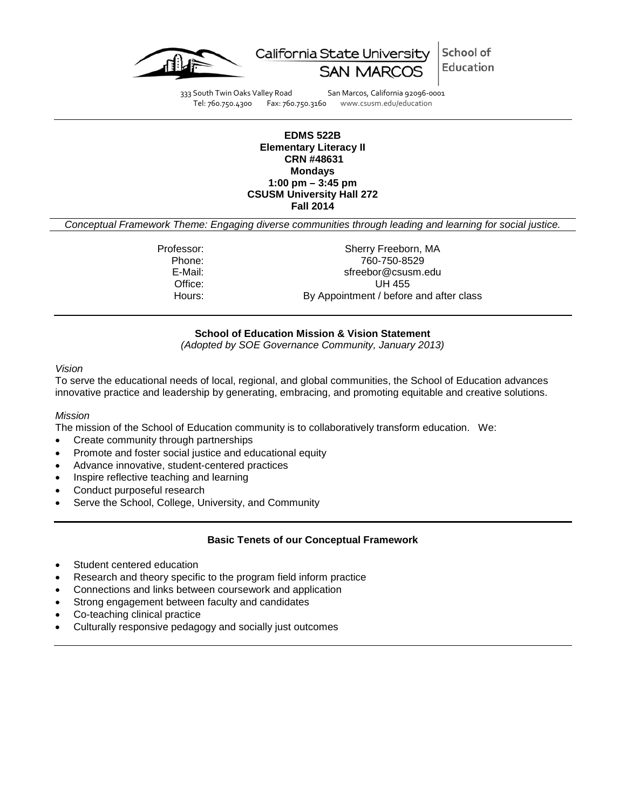



333 South Twin Oaks Valley Road San Marcos, California 92096-0001<br>Tel: 760.750.4300 Fax: 760.750.3160 www.csusm.edu/education

Fax: 760.750.3160 www.csusm.edu/education

### **EDMS 522B Elementary Literacy II CRN #48631 Mondays 1:00 pm – 3:45 pm CSUSM University Hall 272 Fall 2014**

*Conceptual Framework Theme: Engaging diverse communities through leading and learning for social justice.*

Professor: Sherry Freeborn, MA<br>Phone: 760-750-8529 Phone: 760-750-8529 E-Mail: Samuel Communication Streebor@csusm.edu Office: UH 455<br>
Hours: By Appointment / before By Appointment / before and after class

## **School of Education Mission & Vision Statement**

*(Adopted by SOE Governance Community, January 2013)*

#### *Vision*

To serve the educational needs of local, regional, and global communities, the School of Education advances innovative practice and leadership by generating, embracing, and promoting equitable and creative solutions.

### *Mission*

The mission of the School of Education community is to collaboratively transform education. We:

- Create community through partnerships
- Promote and foster social justice and educational equity
- Advance innovative, student-centered practices
- Inspire reflective teaching and learning
- Conduct purposeful research
- Serve the School, College, University, and Community

### **Basic Tenets of our Conceptual Framework**

- Student centered education
- Research and theory specific to the program field inform practice
- Connections and links between coursework and application
- Strong engagement between faculty and candidates
- Co-teaching clinical practice
- Culturally responsive pedagogy and socially just outcomes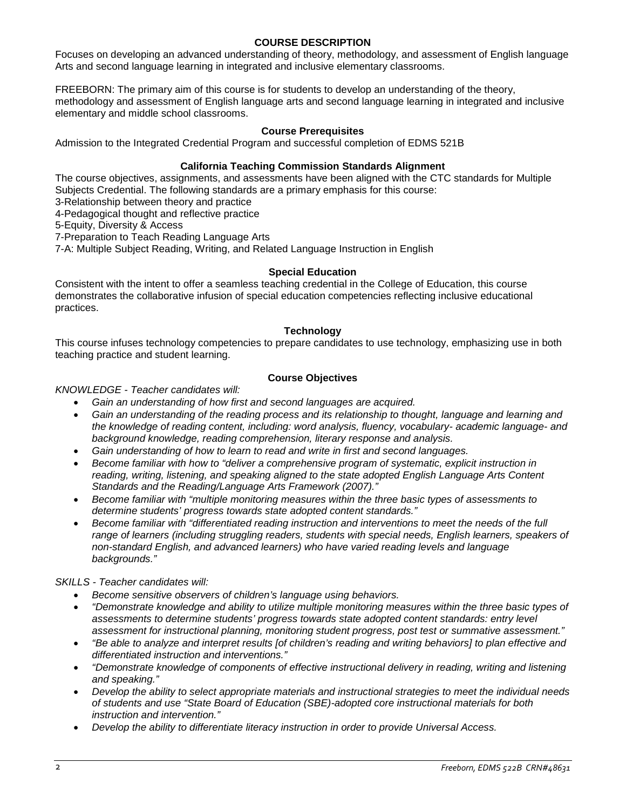### **COURSE DESCRIPTION**

Focuses on developing an advanced understanding of theory, methodology, and assessment of English language Arts and second language learning in integrated and inclusive elementary classrooms.

FREEBORN: The primary aim of this course is for students to develop an understanding of the theory, methodology and assessment of English language arts and second language learning in integrated and inclusive elementary and middle school classrooms.

## **Course Prerequisites**

Admission to the Integrated Credential Program and successful completion of EDMS 521B

## **California Teaching Commission Standards Alignment**

The course objectives, assignments, and assessments have been aligned with the CTC standards for Multiple Subjects Credential. The following standards are a primary emphasis for this course:

3-Relationship between theory and practice

4-Pedagogical thought and reflective practice

5-Equity, Diversity & Access

7-Preparation to Teach Reading Language Arts

7-A: Multiple Subject Reading, Writing, and Related Language Instruction in English

### **Special Education**

Consistent with the intent to offer a seamless teaching credential in the College of Education, this course demonstrates the collaborative infusion of special education competencies reflecting inclusive educational practices.

### **Technology**

This course infuses technology competencies to prepare candidates to use technology, emphasizing use in both teaching practice and student learning.

## **Course Objectives**

*KNOWLEDGE - Teacher candidates will:*

- *Gain an understanding of how first and second languages are acquired.*
- *Gain an understanding of the reading process and its relationship to thought, language and learning and the knowledge of reading content, including: word analysis, fluency, vocabulary- academic language- and background knowledge, reading comprehension, literary response and analysis.*
- *Gain understanding of how to learn to read and write in first and second languages.*
- *Become familiar with how to "deliver a comprehensive program of systematic, explicit instruction in reading, writing, listening, and speaking aligned to the state adopted English Language Arts Content Standards and the Reading/Language Arts Framework (2007)."*
- *Become familiar with "multiple monitoring measures within the three basic types of assessments to determine students' progress towards state adopted content standards."*
- *Become familiar with "differentiated reading instruction and interventions to meet the needs of the full*  range of learners (including struggling readers, students with special needs, English learners, speakers of *non-standard English, and advanced learners) who have varied reading levels and language backgrounds."*

*SKILLS - Teacher candidates will:*

- *Become sensitive observers of children's language using behaviors.*
- *"Demonstrate knowledge and ability to utilize multiple monitoring measures within the three basic types of assessments to determine students' progress towards state adopted content standards: entry level assessment for instructional planning, monitoring student progress, post test or summative assessment."*
- *"Be able to analyze and interpret results [of children's reading and writing behaviors] to plan effective and differentiated instruction and interventions."*
- *"Demonstrate knowledge of components of effective instructional delivery in reading, writing and listening and speaking."*
- *Develop the ability to select appropriate materials and instructional strategies to meet the individual needs of students and use "State Board of Education (SBE)-adopted core instructional materials for both instruction and intervention."*
- *Develop the ability to differentiate literacy instruction in order to provide Universal Access.*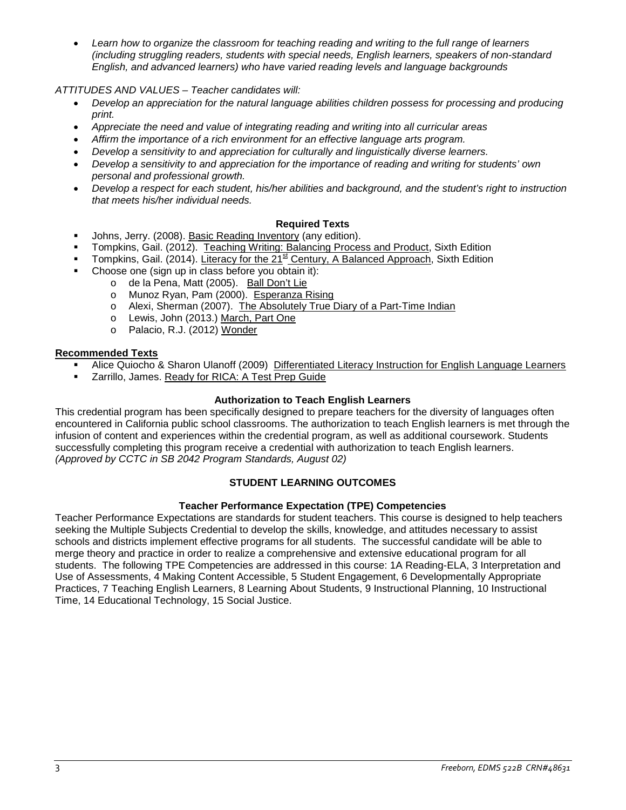• *Learn how to organize the classroom for teaching reading and writing to the full range of learners (including struggling readers, students with special needs, English learners, speakers of non-standard English, and advanced learners) who have varied reading levels and language backgrounds*

# *ATTITUDES AND VALUES – Teacher candidates will:*

- *Develop an appreciation for the natural language abilities children possess for processing and producing print.*
- *Appreciate the need and value of integrating reading and writing into all curricular areas*
- *Affirm the importance of a rich environment for an effective language arts program.*
- *Develop a sensitivity to and appreciation for culturally and linguistically diverse learners.*
- *Develop a sensitivity to and appreciation for the importance of reading and writing for students' own personal and professional growth.*
- *Develop a respect for each student, his/her abilities and background, and the student's right to instruction that meets his/her individual needs.*

# **Required Texts**

- Johns, Jerry. (2008). Basic Reading Inventory (any edition).
- Tompkins, Gail. (2012). Teaching Writing: Balancing Process and Product, Sixth Edition
- Tompkins, Gail. (2014). Literacy for the 21<sup>st</sup> Century, A Balanced Approach, Sixth Edition
- Choose one (sign up in class before you obtain it):
	- o de la Pena, Matt (2005). Ball Don't Lie
	- o Munoz Ryan, Pam (2000). Esperanza Rising
	- o Alexi, Sherman (2007). The Absolutely True Diary of a Part-Time Indian
	- o Lewis, John (2013.) March, Part One
	- o Palacio, R.J. (2012) Wonder

## **Recommended Texts**

- Alice Quiocho & Sharon Ulanoff (2009) Differentiated Literacy Instruction for English Language Learners
- Zarrillo, James. Ready for RICA: A Test Prep Guide

## **Authorization to Teach English Learners**

This credential program has been specifically designed to prepare teachers for the diversity of languages often encountered in California public school classrooms. The authorization to teach English learners is met through the infusion of content and experiences within the credential program, as well as additional coursework. Students successfully completing this program receive a credential with authorization to teach English learners. *(Approved by CCTC in SB 2042 Program Standards, August 02)*

## **STUDENT LEARNING OUTCOMES**

## **Teacher Performance Expectation (TPE) Competencies**

Teacher Performance Expectations are standards for student teachers. This course is designed to help teachers seeking the Multiple Subjects Credential to develop the skills, knowledge, and attitudes necessary to assist schools and districts implement effective programs for all students. The successful candidate will be able to merge theory and practice in order to realize a comprehensive and extensive educational program for all students. The following TPE Competencies are addressed in this course: 1A Reading-ELA, 3 Interpretation and Use of Assessments, 4 Making Content Accessible, 5 Student Engagement, 6 Developmentally Appropriate Practices, 7 Teaching English Learners, 8 Learning About Students, 9 Instructional Planning, 10 Instructional Time, 14 Educational Technology, 15 Social Justice.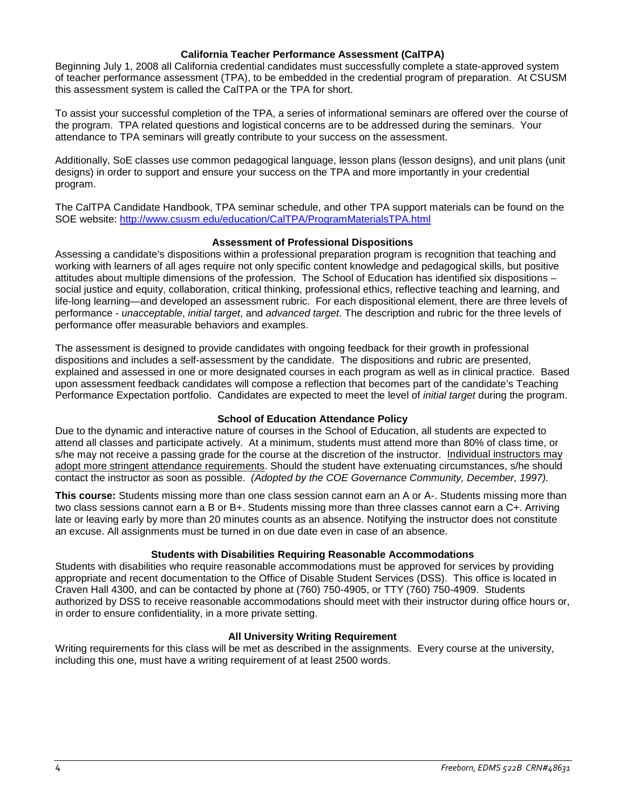### **California Teacher Performance Assessment (CalTPA)**

Beginning July 1, 2008 all California credential candidates must successfully complete a state-approved system of teacher performance assessment (TPA), to be embedded in the credential program of preparation. At CSUSM this assessment system is called the CalTPA or the TPA for short.

To assist your successful completion of the TPA, a series of informational seminars are offered over the course of the program. TPA related questions and logistical concerns are to be addressed during the seminars. Your attendance to TPA seminars will greatly contribute to your success on the assessment.

Additionally, SoE classes use common pedagogical language, lesson plans (lesson designs), and unit plans (unit designs) in order to support and ensure your success on the TPA and more importantly in your credential program.

The CalTPA Candidate Handbook, TPA seminar schedule, and other TPA support materials can be found on the SOE website:<http://www.csusm.edu/education/CalTPA/ProgramMaterialsTPA.html>

### **Assessment of Professional Dispositions**

Assessing a candidate's dispositions within a professional preparation program is recognition that teaching and working with learners of all ages require not only specific content knowledge and pedagogical skills, but positive attitudes about multiple dimensions of the profession. The School of Education has identified six dispositions – social justice and equity, collaboration, critical thinking, professional ethics, reflective teaching and learning, and life-long learning—and developed an assessment rubric. For each dispositional element, there are three levels of performance - *unacceptable*, *initial target*, and *advanced target*. The description and rubric for the three levels of performance offer measurable behaviors and examples.

The assessment is designed to provide candidates with ongoing feedback for their growth in professional dispositions and includes a self-assessment by the candidate. The dispositions and rubric are presented, explained and assessed in one or more designated courses in each program as well as in clinical practice. Based upon assessment feedback candidates will compose a reflection that becomes part of the candidate's Teaching Performance Expectation portfolio. Candidates are expected to meet the level of *initial target* during the program.

### **School of Education Attendance Policy**

Due to the dynamic and interactive nature of courses in the School of Education, all students are expected to attend all classes and participate actively. At a minimum, students must attend more than 80% of class time, or s/he may not receive a passing grade for the course at the discretion of the instructor. Individual instructors may adopt more stringent attendance requirements. Should the student have extenuating circumstances, s/he should contact the instructor as soon as possible. *(Adopted by the COE Governance Community, December, 1997).*

**This course:** Students missing more than one class session cannot earn an A or A-. Students missing more than two class sessions cannot earn a B or B+. Students missing more than three classes cannot earn a C+. Arriving late or leaving early by more than 20 minutes counts as an absence. Notifying the instructor does not constitute an excuse. All assignments must be turned in on due date even in case of an absence.

### **Students with Disabilities Requiring Reasonable Accommodations**

Students with disabilities who require reasonable accommodations must be approved for services by providing appropriate and recent documentation to the Office of Disable Student Services (DSS). This office is located in Craven Hall 4300, and can be contacted by phone at (760) 750-4905, or TTY (760) 750-4909. Students authorized by DSS to receive reasonable accommodations should meet with their instructor during office hours or, in order to ensure confidentiality, in a more private setting.

### **All University Writing Requirement**

Writing requirements for this class will be met as described in the assignments. Every course at the university, including this one, must have a writing requirement of at least 2500 words.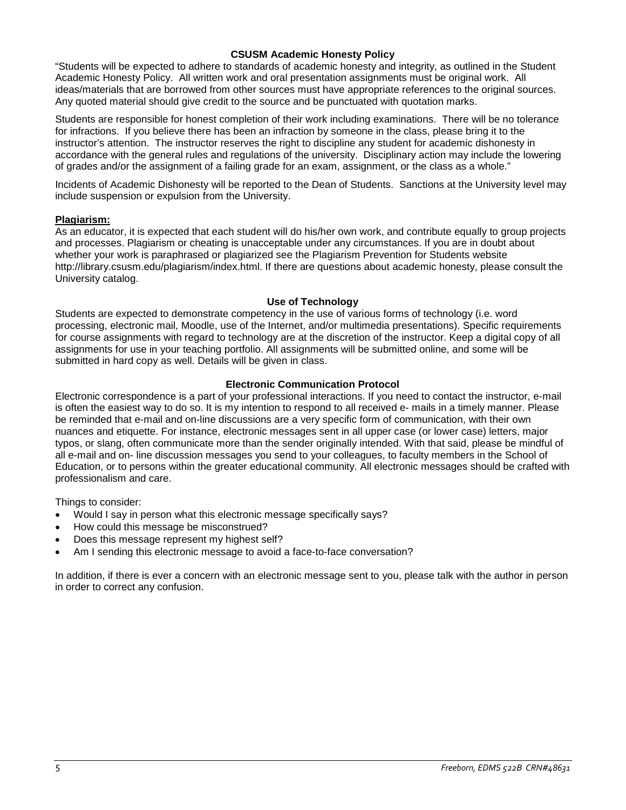### **CSUSM Academic Honesty Policy**

"Students will be expected to adhere to standards of academic honesty and integrity, as outlined in the Student Academic Honesty Policy. All written work and oral presentation assignments must be original work. All ideas/materials that are borrowed from other sources must have appropriate references to the original sources. Any quoted material should give credit to the source and be punctuated with quotation marks.

Students are responsible for honest completion of their work including examinations. There will be no tolerance for infractions. If you believe there has been an infraction by someone in the class, please bring it to the instructor's attention. The instructor reserves the right to discipline any student for academic dishonesty in accordance with the general rules and regulations of the university. Disciplinary action may include the lowering of grades and/or the assignment of a failing grade for an exam, assignment, or the class as a whole."

Incidents of Academic Dishonesty will be reported to the Dean of Students. Sanctions at the University level may include suspension or expulsion from the University.

### **Plagiarism:**

As an educator, it is expected that each student will do his/her own work, and contribute equally to group projects and processes. Plagiarism or cheating is unacceptable under any circumstances. If you are in doubt about whether your work is paraphrased or plagiarized see the Plagiarism Prevention for Students website http://library.csusm.edu/plagiarism/index.html. If there are questions about academic honesty, please consult the University catalog.

### **Use of Technology**

Students are expected to demonstrate competency in the use of various forms of technology (i.e. word processing, electronic mail, Moodle, use of the Internet, and/or multimedia presentations). Specific requirements for course assignments with regard to technology are at the discretion of the instructor. Keep a digital copy of all assignments for use in your teaching portfolio. All assignments will be submitted online, and some will be submitted in hard copy as well. Details will be given in class.

### **Electronic Communication Protocol**

Electronic correspondence is a part of your professional interactions. If you need to contact the instructor, e-mail is often the easiest way to do so. It is my intention to respond to all received e- mails in a timely manner. Please be reminded that e-mail and on-line discussions are a very specific form of communication, with their own nuances and etiquette. For instance, electronic messages sent in all upper case (or lower case) letters, major typos, or slang, often communicate more than the sender originally intended. With that said, please be mindful of all e-mail and on- line discussion messages you send to your colleagues, to faculty members in the School of Education, or to persons within the greater educational community. All electronic messages should be crafted with professionalism and care.

Things to consider:

- Would I say in person what this electronic message specifically says?
- How could this message be misconstrued?
- Does this message represent my highest self?
- Am I sending this electronic message to avoid a face-to-face conversation?

In addition, if there is ever a concern with an electronic message sent to you, please talk with the author in person in order to correct any confusion.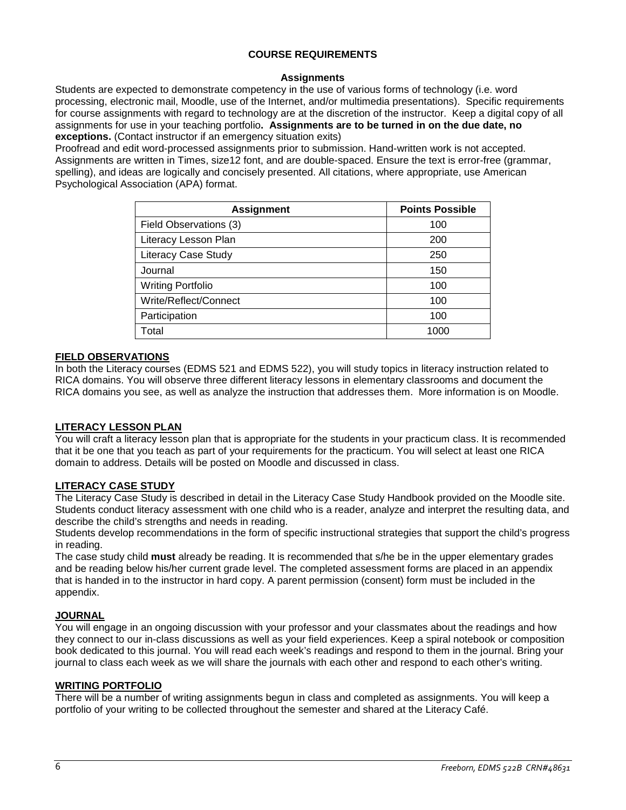### **COURSE REQUIREMENTS**

### **Assignments**

Students are expected to demonstrate competency in the use of various forms of technology (i.e. word processing, electronic mail, Moodle, use of the Internet, and/or multimedia presentations). Specific requirements for course assignments with regard to technology are at the discretion of the instructor. Keep a digital copy of all assignments for use in your teaching portfolio**. Assignments are to be turned in on the due date, no exceptions.** (Contact instructor if an emergency situation exits)

Proofread and edit word-processed assignments prior to submission. Hand-written work is not accepted. Assignments are written in Times, size12 font, and are double-spaced. Ensure the text is error-free (grammar, spelling), and ideas are logically and concisely presented. All citations, where appropriate, use American Psychological Association (APA) format.

| <b>Assignment</b>          | <b>Points Possible</b> |
|----------------------------|------------------------|
| Field Observations (3)     | 100                    |
| Literacy Lesson Plan       | 200                    |
| <b>Literacy Case Study</b> | 250                    |
| Journal                    | 150                    |
| <b>Writing Portfolio</b>   | 100                    |
| Write/Reflect/Connect      | 100                    |
| Participation              | 100                    |
| Total                      | 1000                   |

### **FIELD OBSERVATIONS**

In both the Literacy courses (EDMS 521 and EDMS 522), you will study topics in literacy instruction related to RICA domains. You will observe three different literacy lessons in elementary classrooms and document the RICA domains you see, as well as analyze the instruction that addresses them. More information is on Moodle.

# **LITERACY LESSON PLAN**

You will craft a literacy lesson plan that is appropriate for the students in your practicum class. It is recommended that it be one that you teach as part of your requirements for the practicum. You will select at least one RICA domain to address. Details will be posted on Moodle and discussed in class.

## **LITERACY CASE STUDY**

The Literacy Case Study is described in detail in the Literacy Case Study Handbook provided on the Moodle site. Students conduct literacy assessment with one child who is a reader, analyze and interpret the resulting data, and describe the child's strengths and needs in reading.

Students develop recommendations in the form of specific instructional strategies that support the child's progress in reading.

The case study child **must** already be reading. It is recommended that s/he be in the upper elementary grades and be reading below his/her current grade level. The completed assessment forms are placed in an appendix that is handed in to the instructor in hard copy. A parent permission (consent) form must be included in the appendix.

## **JOURNAL**

You will engage in an ongoing discussion with your professor and your classmates about the readings and how they connect to our in-class discussions as well as your field experiences. Keep a spiral notebook or composition book dedicated to this journal. You will read each week's readings and respond to them in the journal. Bring your journal to class each week as we will share the journals with each other and respond to each other's writing.

### **WRITING PORTFOLIO**

There will be a number of writing assignments begun in class and completed as assignments. You will keep a portfolio of your writing to be collected throughout the semester and shared at the Literacy Café.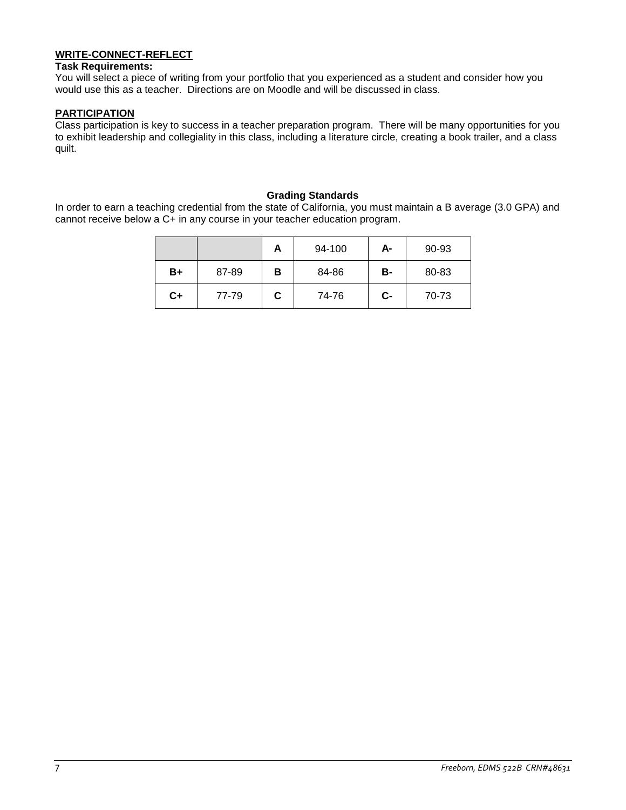## **WRITE-CONNECT-REFLECT**

#### **Task Requirements:**

You will select a piece of writing from your portfolio that you experienced as a student and consider how you would use this as a teacher. Directions are on Moodle and will be discussed in class.

# **PARTICIPATION**

Class participation is key to success in a teacher preparation program. There will be many opportunities for you to exhibit leadership and collegiality in this class, including a literature circle, creating a book trailer, and a class quilt.

#### **Grading Standards**

In order to earn a teaching credential from the state of California, you must maintain a B average (3.0 GPA) and cannot receive below a C+ in any course in your teacher education program.

|    |       | A | 94-100 | А- | 90-93 |
|----|-------|---|--------|----|-------|
| B+ | 87-89 | в | 84-86  | в- | 80-83 |
| C+ | 77-79 | C | 74-76  | C- | 70-73 |